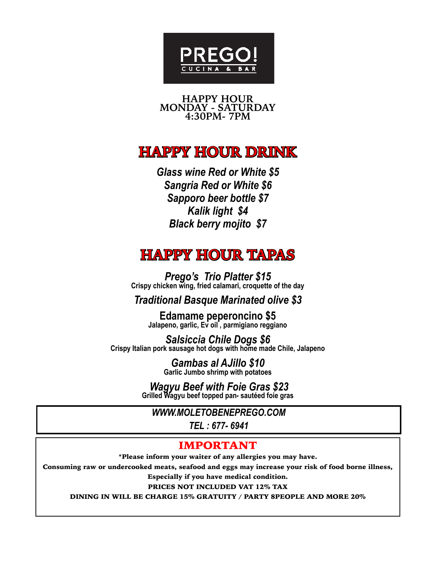

**HAPPY HOUR MONDAY - SATURDAY 4:30PM- 7PM** 

# **HAPPY HOUR DRINK**

*Glass wine Red or White \$5 Sangria Red or White \$6 Sapporo beer bottle \$7 Kalik light \$4 Black berry mojito \$7* 

# **HAPPY HOUR TAPAS**

*Prego's Trio Platter \$15* **Crispy chicken wing, fried calamari, croquette of the day**

*Traditional Basque Marinated olive \$3* 

**Edamame peperoncino \$5 Jalapeno, garlic, Ev oil , parmigiano reggiano** 

*Salsiccia Chile Dogs \$6* **Crispy Italian pork sausage hot dogs with home made Chile, Jalapeno** 

*Gambas al AJillo \$10* **Garlic Jumbo shrimp with potatoes**

*Wagyu Beef with Foie Gras \$23* **Grilled Wagyu beef topped pan- sautéed foie gras** 

*WWW.MOLETOBENEPREGO.COM*

*TEL : 677- 6941*

## IMPORTANT

\*Please inform your waiter of any allergies you may have.

Consuming raw or undercooked meats, seafood and eggs may increase your risk of food borne illness,

Especially if you have medical condition.

PRICES NOT INCLUDED VAT 12% TAX

DINING IN WILL BE CHARGE 15% GRATUITY / PARTY 8PEOPLE AND MORE 20%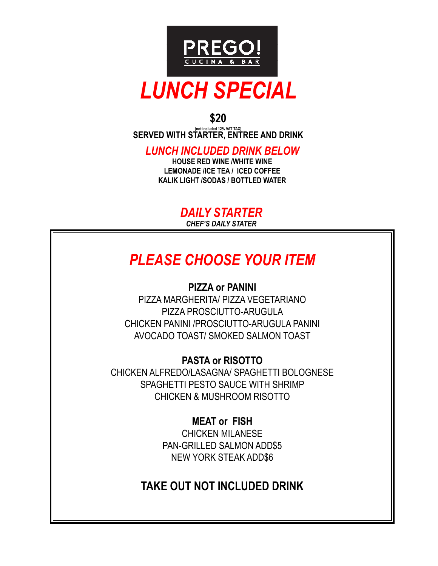

## **\$20**

**(not included 12% VAT TAX) SERVED WITH STARTER, ENTREE AND DRINK**

*LUNCH INCLUDED DRINK BELOW* 

**HOUSE RED WINE /WHITE WINE LEMONADE /ICE TEA / ICED COFFEE KALIK LIGHT /SODAS / BOTTLED WATER**

> *DAILY STARTER CHEF'S DAILY STATER*

# *PLEASE CHOOSE YOUR ITEM*

## **PIZZA or PANINI**

PIZZA MARGHERITA/ PIZZA VEGETARIANO PIZZA PROSCIUTTO-ARUGULA CHICKEN PANINI /PROSCIUTTO-ARUGULA PANINI AVOCADO TOAST/ SMOKED SALMON TOAST

## **PASTA or RISOTTO**

CHICKEN ALFREDO/LASAGNA/ SPAGHETTI BOLOGNESE SPAGHETTI PESTO SAUCE WITH SHRIMP CHICKEN & MUSHROOM RISOTTO

> **MEAT or FISH** CHICKEN MILANESE PAN-GRILLED SALMON ADD\$5 NEW YORK STEAK ADD\$6

# **TAKE OUT NOT INCLUDED DRINK**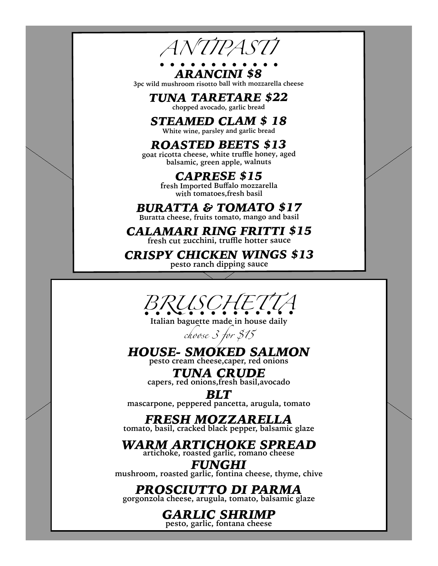

*ARANCINI \$8* 

**3pc wild mushroom risotto ball with mozzarella cheese** 

*TUNA TARETARE \$22* **chopped avocado, garlic bread** 

*STEAMED CLAM \$ 18*

**White wine, parsley and garlic bread** 

# *ROASTED BEETS \$13*

**goat ricotta cheese, white truffle honey, aged balsamic, green apple, walnuts** 

## *CAPRESE \$15*

**fresh Imported Buffalo mozzarella with tomatoes,fresh basil** 

## *BURATTA & TOMATO \$17*

**Buratta cheese, fruits tomato, mango and basil** 

## *CALAMARI RING FRITTI \$15*  **fresh cut zucchini, truffle hotter sauce**

*CRISPY CHICKEN WINGS \$13*

**pesto ranch dipping sauce** 



**Italian baguette made in house daily**

*choose 3 for \$15*

# *HOUSE- SMOKED SALMON*

**pesto cream cheese,caper, red onions**

*TUNA CRUDE*  **capers, red onions,fresh basil,avocado**

*BLT*  **mascarpone, peppered pancetta, arugula, tomato** 

# *FRESH MOZZARELLA*

**tomato, basil, cracked black pepper, balsamic glaze** 

### *WARM ARTICHOKE SPREAD*  **artichoke, roasted garlic, romano cheese**

*FUNGHI*  **mushroom, roasted garlic, fontina cheese, thyme, chive** 

# *PROSCIUTTO DI PARMA*

**gorgonzola cheese, arugula, tomato, balsamic glaze** 

# *GARLIC SHRIMP*

**pesto, garlic, fontana cheese**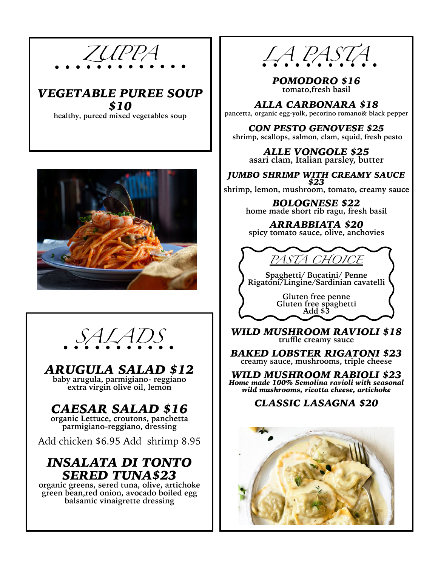





# *ARUGULA SALAD \$12*

**baby arugula, parmigiano- reggiano extra virgin olive oil, lemon** 

# CAESAR SALAD \$16<br>organic Lettuce, croutons, panchetta

parmigiano-reggiano, dressing

Add chicken \$6.95 Add shrimp 8.95

# *INSALATA DI TONTO SERED TUNA\$23*

**organic greens, sered tuna, olive, artichoke green bean,red onion, avocado boiled egg balsamic vinaigrette dressing**



*POMODORO \$16* **tomato,fresh basil**

*ALLA CARBONARA \$18* **pancetta, organic egg-yolk, pecorino romano& black pepper** 

*CON PESTO GENOVESE \$25* **shrimp, scallops, salmon, clam, squid, fresh pesto**

*ALLE VONGOLE \$25* **asari clam, Italian parsley, butter**

*JUMBO SHRIMP WITH CREAMY SAUCE \$23*

**shrimp, lemon, mushroom, tomato, creamy sauce** 

*BOLOGNESE \$22* **home made short rib ragu, fresh basil**

*ARRABBIATA \$20* **spicy tomato sauce, olive, anchovies**



**Spaghetti/ Bucatini/ Penne Rigatoni/Lingine/Sardinian cavatelli**

**Gluten free penne Gluten free spaghetti Add \$3** 

*WILD MUSHROOM RAVIOLI \$18* **truffle creamy sauce** 

*BAKED LOBSTER RIGATONI \$23* **creamy sauce, mushrooms, triple cheese** 

*WILD MUSHROOM RABIOLI \$23 Home made 100% Semolina ravioli with seasonal wild mushrooms, ricotta cheese, artichoke*

## *CLASSIC LASAGNA \$20*

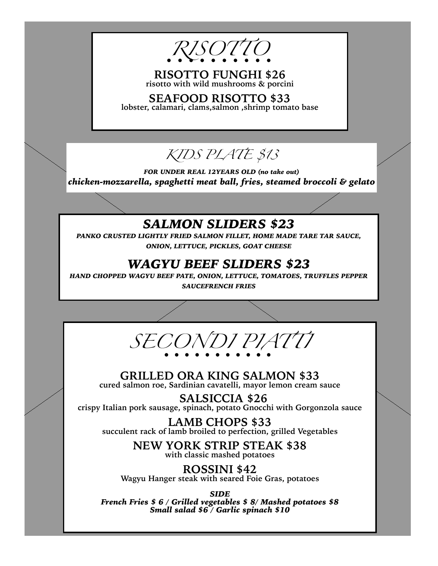

**RISOTTO FUNGHI \$26 risotto with wild mushrooms & porcini** 

**SEAFOOD RISOTTO \$33 lobster, calamari, clams,salmon ,shrimp tomato base**

# *KIDS PLATE \$13*

*FOR UNDER REAL 12YEARS OLD (no take out) chicken-mozzarella, spaghetti meat ball, fries, steamed broccoli & gelato*

# *SALMON SLIDERS \$23*

*PANKO CRUSTED LIGHTLY FRIED SALMON FILLET, HOME MADE TARE TAR SAUCE, ONION, LETTUCE, PICKLES, GOAT CHEESE* 

# *WAGYU BEEF SLIDERS \$23*

*HAND CHOPPED WAGYU BEEF PATE, ONION, LETTUCE, TOMATOES, TRUFFLES PEPPER SAUCEFRENCH FRIES* 



### **GRILLED ORA KING SALMON \$33 cured salmon roe, Sardinian cavatelli, mayor lemon cream sauce**

 **SALSICCIA \$26 crispy Italian pork sausage, spinach, potato Gnocchi with Gorgonzola sauce** 

**LAMB CHOPS \$33 succulent rack of lamb broiled to perfection, grilled Vegetables** 

> **NEW YORK STRIP STEAK \$38 with classic mashed potatoes**

**ROSSINI \$42 Wagyu Hanger steak with seared Foie Gras, potatoes** 

*SIDE French Fries \$ 6 / Grilled vegetables \$ 8/ Mashed potatoes \$8 Small salad \$6 / Garlic spinach \$10*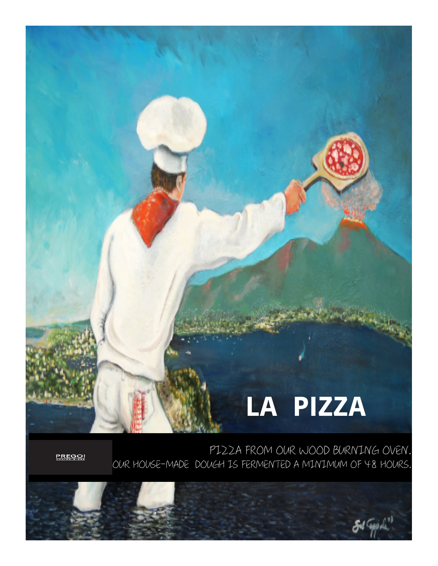PIZZA FROM OUR WOOD BURNING OVEN. OUR HOUSE-MADE DOUGH IS FERMENTED A MINIMUM OF 48 HOURS.



<u>PREGO!</u>